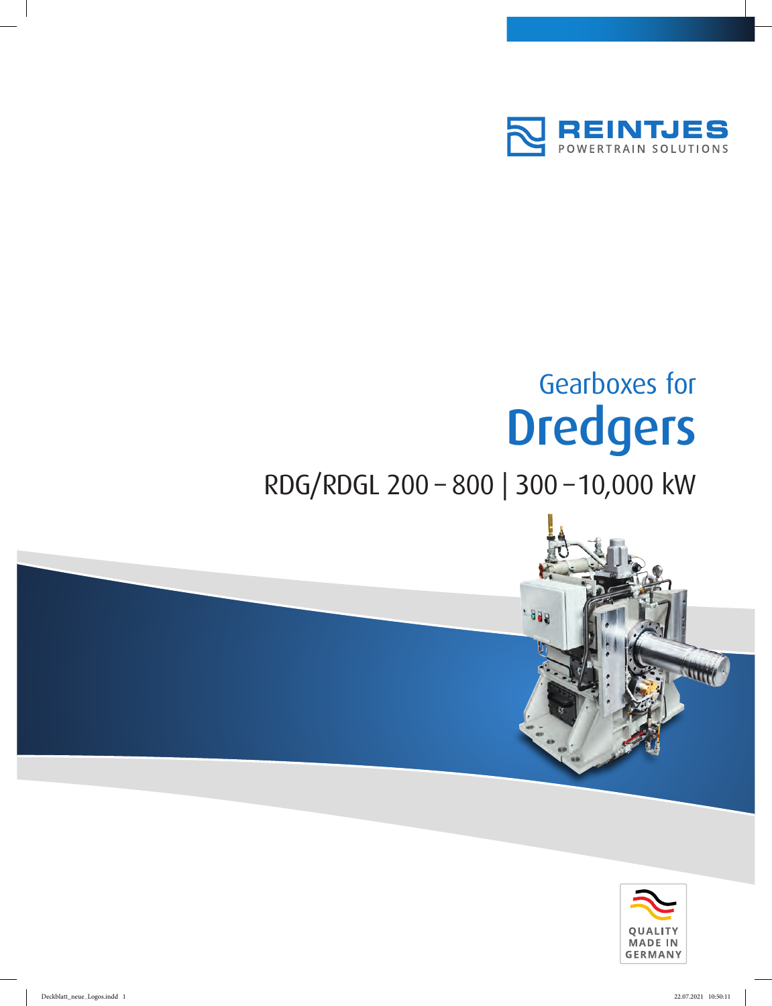

## Gearboxes for Dredgers

## RDG/RDGL 200 – 800 | 300 –10,000 kW



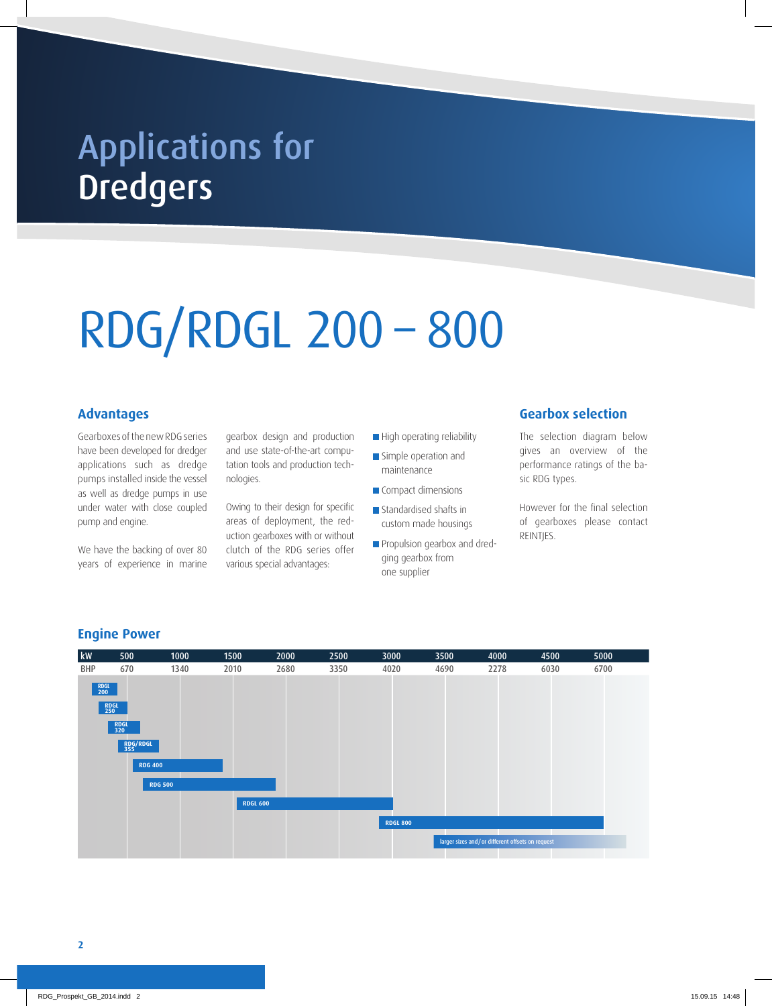## **Dredgers** Applications for

# RDG/RDGL 200 – 800

#### **Advantages**

Gearboxes of the new RDG series have been developed for dredger applications such as dredge pumps installed inside the vessel as well as dredge pumps in use under water with close coupled pump and engine.

We have the backing of over 80 years of experience in marine

gearbox design and production and use state-of-the-art computation tools and production technologies.

Owing to their design for specific areas of deployment, the reduction gearboxes with or without clutch of the RDG series offer various special advantages:

- High operating reliability
- Simple operation and maintenance
- Compact dimensions
- **Standardised shafts in** custom made housings
- **Propulsion gearbox and dred**ging gearbox from one supplier

#### **Gearbox selection**

The selection diagram below gives an overview of the performance ratings of the basic RDG types.

However for the final selection of gearboxes please contact REINTJES.



#### **Engine Power**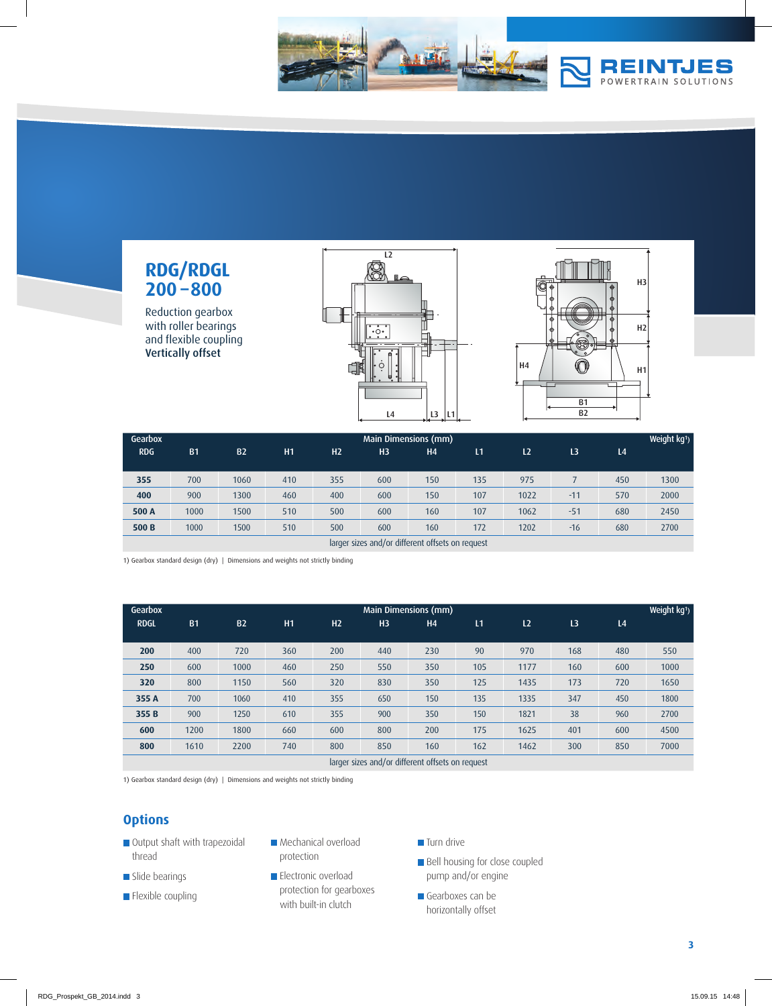

### **RDG/RDGL 200 –800**

Reduction gearbox with roller bearings and flexible coupling Vertically offset





| Gearbox                                          | <b>Main Dimensions (mm)</b> |           |     |                |                |                |     |                |                |                | Weight kg <sup>1</sup> ) |
|--------------------------------------------------|-----------------------------|-----------|-----|----------------|----------------|----------------|-----|----------------|----------------|----------------|--------------------------|
| <b>RDG</b>                                       | <b>B1</b>                   | <b>B2</b> | H1  | H <sub>2</sub> | H <sub>3</sub> | H <sub>4</sub> | L1  | L <sub>2</sub> | L <sub>3</sub> | L <sub>4</sub> |                          |
|                                                  |                             |           |     |                |                |                |     |                |                |                |                          |
| 355                                              | 700                         | 1060      | 410 | 355            | 600            | 150            | 135 | 975            |                | 450            | 1300                     |
| 400                                              | 900                         | 1300      | 460 | 400            | 600            | 150            | 107 | 1022           | $-11$          | 570            | 2000                     |
| 500 A                                            | 1000                        | 1500      | 510 | 500            | 600            | 160            | 107 | 1062           | $-51$          | 680            | 2450                     |
| 500 <sub>B</sub>                                 | 1000                        | 1500      | 510 | 500            | 600            | 160            | 172 | 1202           | $-16$          | 680            | 2700                     |
| larger sizes and/or different offsets on request |                             |           |     |                |                |                |     |                |                |                |                          |

1) Gearbox standard design (dry) | Dimensions and weights not strictly binding

| Gearbox     | Main Dimensions (mm) |           |     |                |                |                |     |                |                |                | Weight kg <sup>1</sup> ) |
|-------------|----------------------|-----------|-----|----------------|----------------|----------------|-----|----------------|----------------|----------------|--------------------------|
| <b>RDGL</b> | <b>B1</b>            | <b>B2</b> | H1  | H <sub>2</sub> | H <sub>3</sub> | H <sub>4</sub> | L1  | L <sub>2</sub> | L <sub>3</sub> | L <sub>4</sub> |                          |
|             |                      |           |     |                |                |                |     |                |                |                |                          |
| 200         | 400                  | 720       | 360 | 200            | 440            | 230            | 90  | 970            | 168            | 480            | 550                      |
| 250         | 600                  | 1000      | 460 | 250            | 550            | 350            | 105 | 1177           | 160            | 600            | 1000                     |
| 320         | 800                  | 1150      | 560 | 320            | 830            | 350            | 125 | 1435           | 173            | 720            | 1650                     |
| 355 A       | 700                  | 1060      | 410 | 355            | 650            | 150            | 135 | 1335           | 347            | 450            | 1800                     |
| 355B        | 900                  | 1250      | 610 | 355            | 900            | 350            | 150 | 1821           | 38             | 960            | 2700                     |
| 600         | 1200                 | 1800      | 660 | 600            | 800            | 200            | 175 | 1625           | 401            | 600            | 4500                     |
| 800         | 1610                 | 2200      | 740 | 800            | 850            | 160            | 162 | 1462           | 300            | 850            | 7000                     |

larger sizes and/or different offsets on request

1) Gearbox standard design (dry) | Dimensions and weights not strictly binding

#### **Options**

- Output shaft with trapezoidal thread
- Slide bearings
- **Flexible coupling**
- **Mechanical overload** protection
- **Electronic overload** protection for gearboxes with built-in clutch
- **Turn drive**
- **Bell housing for close coupled** pump and/or engine
- Gearboxes can be horizontally offset